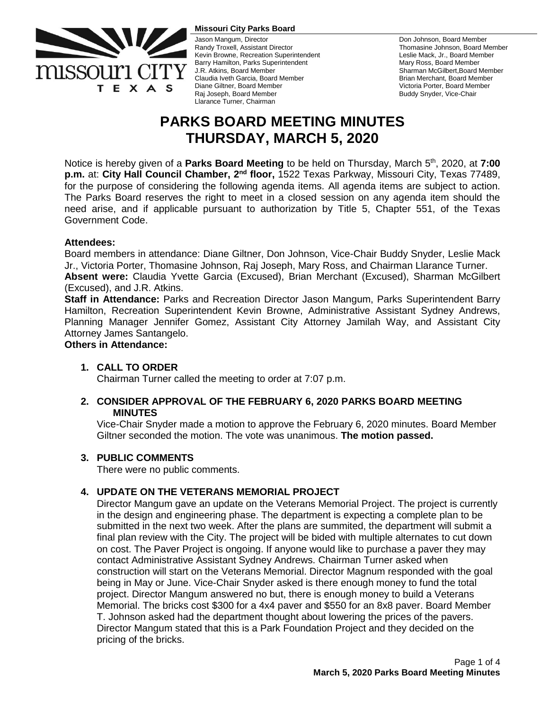

#### **Missouri City Parks Board**

Jason Mangum, Director Randy Troxell, Assistant Director Kevin Browne, Recreation Superintendent Barry Hamilton, Parks Superintendent J.R. Atkins, Board Member Claudia Iveth Garcia, Board Member Diane Giltner, Board Member Raj Joseph, Board Member Llarance Turner, Chairman

Don Johnson, Board Member Thomasine Johnson, Board Member Leslie Mack, Jr., Board Member Mary Ross, Board Member Sharman McGilbert,Board Member Brian Merchant, Board Member Victoria Porter, Board Member Buddy Snyder, Vice-Chair

# **PARKS BOARD MEETING MINUTES THURSDAY, MARCH 5, 2020**

Notice is hereby given of a **Parks Board Meeting** to be held on Thursday, March 5 th , 2020, at **7:00 p.m.** at: City Hall Council Chamber, 2<sup>nd</sup> floor, 1522 Texas Parkway, Missouri City, Texas 77489, for the purpose of considering the following agenda items. All agenda items are subject to action. The Parks Board reserves the right to meet in a closed session on any agenda item should the need arise, and if applicable pursuant to authorization by Title 5, Chapter 551, of the Texas Government Code.

### **Attendees:**

Board members in attendance: Diane Giltner, Don Johnson, Vice-Chair Buddy Snyder, Leslie Mack Jr., Victoria Porter, Thomasine Johnson, Raj Joseph, Mary Ross, and Chairman Llarance Turner. **Absent were:** Claudia Yvette Garcia (Excused), Brian Merchant (Excused), Sharman McGilbert

### (Excused), and J.R. Atkins.

**Staff in Attendance:** Parks and Recreation Director Jason Mangum, Parks Superintendent Barry Hamilton, Recreation Superintendent Kevin Browne, Administrative Assistant Sydney Andrews, Planning Manager Jennifer Gomez, Assistant City Attorney Jamilah Way, and Assistant City Attorney James Santangelo.

#### **Others in Attendance:**

#### **1. CALL TO ORDER**

Chairman Turner called the meeting to order at 7:07 p.m.

## **2. CONSIDER APPROVAL OF THE FEBRUARY 6, 2020 PARKS BOARD MEETING MINUTES**

Vice-Chair Snyder made a motion to approve the February 6, 2020 minutes. Board Member Giltner seconded the motion. The vote was unanimous. **The motion passed.**

#### **3. PUBLIC COMMENTS**

There were no public comments.

## **4. UPDATE ON THE VETERANS MEMORIAL PROJECT**

Director Mangum gave an update on the Veterans Memorial Project. The project is currently in the design and engineering phase. The department is expecting a complete plan to be submitted in the next two week. After the plans are summited, the department will submit a final plan review with the City. The project will be bided with multiple alternates to cut down on cost. The Paver Project is ongoing. If anyone would like to purchase a paver they may contact Administrative Assistant Sydney Andrews. Chairman Turner asked when construction will start on the Veterans Memorial. Director Magnum responded with the goal being in May or June. Vice-Chair Snyder asked is there enough money to fund the total project. Director Mangum answered no but, there is enough money to build a Veterans Memorial. The bricks cost \$300 for a 4x4 paver and \$550 for an 8x8 paver. Board Member T. Johnson asked had the department thought about lowering the prices of the pavers. Director Mangum stated that this is a Park Foundation Project and they decided on the pricing of the bricks.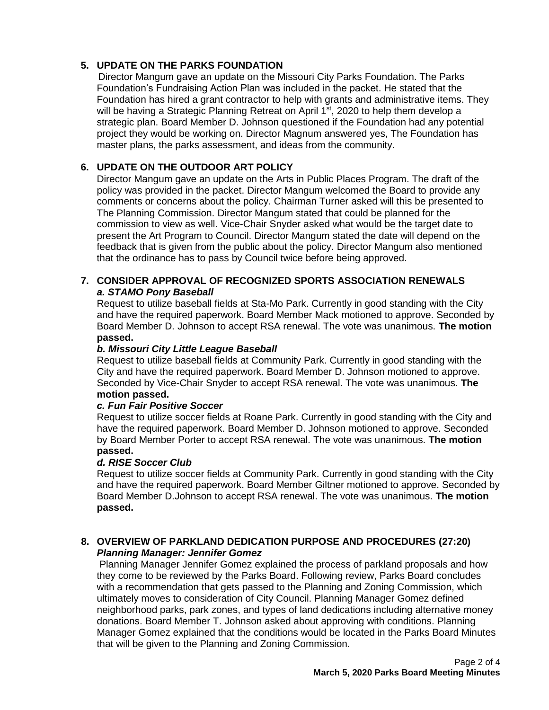## **5. UPDATE ON THE PARKS FOUNDATION**

Director Mangum gave an update on the Missouri City Parks Foundation. The Parks Foundation's Fundraising Action Plan was included in the packet. He stated that the Foundation has hired a grant contractor to help with grants and administrative items. They will be having a Strategic Planning Retreat on April  $1<sup>st</sup>$ , 2020 to help them develop a strategic plan. Board Member D. Johnson questioned if the Foundation had any potential project they would be working on. Director Magnum answered yes, The Foundation has master plans, the parks assessment, and ideas from the community.

## **6. UPDATE ON THE OUTDOOR ART POLICY**

Director Mangum gave an update on the Arts in Public Places Program. The draft of the policy was provided in the packet. Director Mangum welcomed the Board to provide any comments or concerns about the policy. Chairman Turner asked will this be presented to The Planning Commission. Director Mangum stated that could be planned for the commission to view as well. Vice-Chair Snyder asked what would be the target date to present the Art Program to Council. Director Mangum stated the date will depend on the feedback that is given from the public about the policy. Director Mangum also mentioned that the ordinance has to pass by Council twice before being approved.

## **7. CONSIDER APPROVAL OF RECOGNIZED SPORTS ASSOCIATION RENEWALS** *a. STAMO Pony Baseball*

Request to utilize baseball fields at Sta-Mo Park. Currently in good standing with the City and have the required paperwork. Board Member Mack motioned to approve. Seconded by Board Member D. Johnson to accept RSA renewal. The vote was unanimous. **The motion passed.**

## *b. Missouri City Little League Baseball*

Request to utilize baseball fields at Community Park. Currently in good standing with the City and have the required paperwork. Board Member D. Johnson motioned to approve. Seconded by Vice-Chair Snyder to accept RSA renewal. The vote was unanimous. **The motion passed.**

#### *c. Fun Fair Positive Soccer*

Request to utilize soccer fields at Roane Park. Currently in good standing with the City and have the required paperwork. Board Member D. Johnson motioned to approve. Seconded by Board Member Porter to accept RSA renewal. The vote was unanimous. **The motion passed.**

#### *d. RISE Soccer Club*

Request to utilize soccer fields at Community Park. Currently in good standing with the City and have the required paperwork. Board Member Giltner motioned to approve. Seconded by Board Member D.Johnson to accept RSA renewal. The vote was unanimous. **The motion passed.**

## **8. OVERVIEW OF PARKLAND DEDICATION PURPOSE AND PROCEDURES (27:20)** *Planning Manager: Jennifer Gomez*

Planning Manager Jennifer Gomez explained the process of parkland proposals and how they come to be reviewed by the Parks Board. Following review, Parks Board concludes with a recommendation that gets passed to the Planning and Zoning Commission, which ultimately moves to consideration of City Council. Planning Manager Gomez defined neighborhood parks, park zones, and types of land dedications including alternative money donations. Board Member T. Johnson asked about approving with conditions. Planning Manager Gomez explained that the conditions would be located in the Parks Board Minutes that will be given to the Planning and Zoning Commission.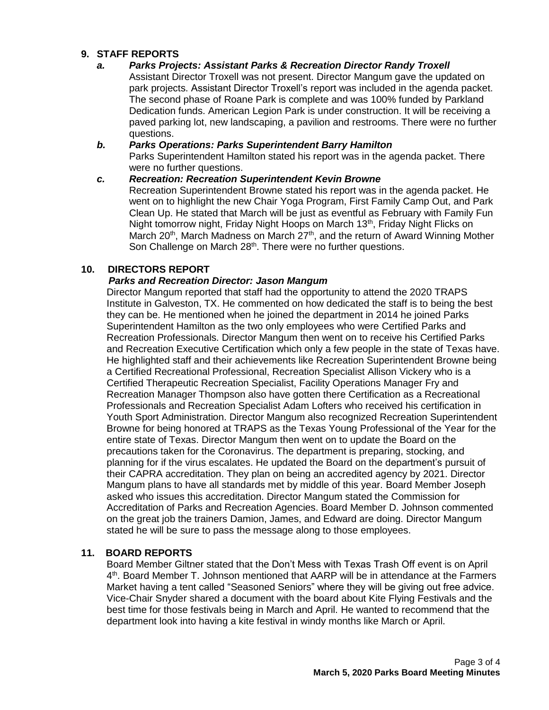## **9. STAFF REPORTS**

### *a. Parks Projects: Assistant Parks & Recreation Director Randy Troxell*

Assistant Director Troxell was not present. Director Mangum gave the updated on park projects. Assistant Director Troxell's report was included in the agenda packet. The second phase of Roane Park is complete and was 100% funded by Parkland Dedication funds. American Legion Park is under construction. It will be receiving a paved parking lot, new landscaping, a pavilion and restrooms. There were no further questions.

## *b. Parks Operations: Parks Superintendent Barry Hamilton*

Parks Superintendent Hamilton stated his report was in the agenda packet. There were no further questions.

## *c. Recreation: Recreation Superintendent Kevin Browne*

Recreation Superintendent Browne stated his report was in the agenda packet. He went on to highlight the new Chair Yoga Program, First Family Camp Out, and Park Clean Up. He stated that March will be just as eventful as February with Family Fun Night tomorrow night, Friday Night Hoops on March 13<sup>th</sup>, Friday Night Flicks on March 20<sup>th</sup>, March Madness on March 27<sup>th</sup>, and the return of Award Winning Mother Son Challenge on March 28<sup>th</sup>. There were no further questions.

## **10. DIRECTORS REPORT**

## *Parks and Recreation Director: Jason Mangum*

Director Mangum reported that staff had the opportunity to attend the 2020 TRAPS Institute in Galveston, TX. He commented on how dedicated the staff is to being the best they can be. He mentioned when he joined the department in 2014 he joined Parks Superintendent Hamilton as the two only employees who were Certified Parks and Recreation Professionals. Director Mangum then went on to receive his Certified Parks and Recreation Executive Certification which only a few people in the state of Texas have. He highlighted staff and their achievements like Recreation Superintendent Browne being a Certified Recreational Professional, Recreation Specialist Allison Vickery who is a Certified Therapeutic Recreation Specialist, Facility Operations Manager Fry and Recreation Manager Thompson also have gotten there Certification as a Recreational Professionals and Recreation Specialist Adam Lofters who received his certification in Youth Sport Administration. Director Mangum also recognized Recreation Superintendent Browne for being honored at TRAPS as the Texas Young Professional of the Year for the entire state of Texas. Director Mangum then went on to update the Board on the precautions taken for the Coronavirus. The department is preparing, stocking, and planning for if the virus escalates. He updated the Board on the department's pursuit of their CAPRA accreditation. They plan on being an accredited agency by 2021. Director Mangum plans to have all standards met by middle of this year. Board Member Joseph asked who issues this accreditation. Director Mangum stated the Commission for Accreditation of Parks and Recreation Agencies. Board Member D. Johnson commented on the great job the trainers Damion, James, and Edward are doing. Director Mangum stated he will be sure to pass the message along to those employees.

## **11. BOARD REPORTS**

Board Member Giltner stated that the Don't Mess with Texas Trash Off event is on April 4<sup>th</sup>. Board Member T. Johnson mentioned that AARP will be in attendance at the Farmers Market having a tent called "Seasoned Seniors" where they will be giving out free advice. Vice-Chair Snyder shared a document with the board about Kite Flying Festivals and the best time for those festivals being in March and April. He wanted to recommend that the department look into having a kite festival in windy months like March or April.